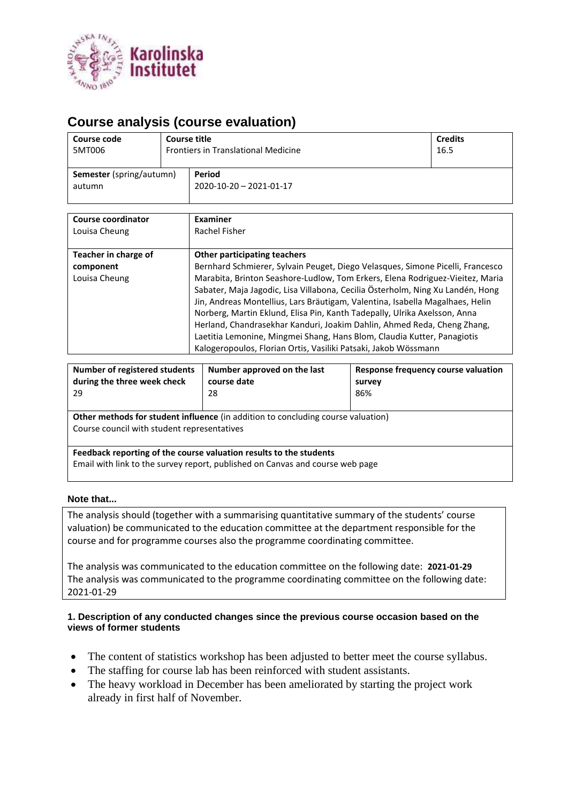

# **Course analysis (course evaluation)**

| Course code                               |  | <b>Course title</b>                         | <b>Credits</b> |
|-------------------------------------------|--|---------------------------------------------|----------------|
| 5MT006                                    |  | <b>Frontiers in Translational Medicine</b>  | 16.5           |
| <b>Semester</b> (spring/autumn)<br>autumn |  | Period<br>$2020 - 10 - 20 - 2021 - 01 - 17$ |                |

| <b>Course coordinator</b>                          | Examiner                                                                                                                                                                                                                                                                                                                                                                                                                                                                                                                                                                                                                                                                        |
|----------------------------------------------------|---------------------------------------------------------------------------------------------------------------------------------------------------------------------------------------------------------------------------------------------------------------------------------------------------------------------------------------------------------------------------------------------------------------------------------------------------------------------------------------------------------------------------------------------------------------------------------------------------------------------------------------------------------------------------------|
| Louisa Cheung                                      | Rachel Fisher                                                                                                                                                                                                                                                                                                                                                                                                                                                                                                                                                                                                                                                                   |
| Teacher in charge of<br>component<br>Louisa Cheung | <b>Other participating teachers</b><br>Bernhard Schmierer, Sylvain Peuget, Diego Velasques, Simone Picelli, Francesco<br>Marabita, Brinton Seashore-Ludlow, Tom Erkers, Elena Rodriguez-Vieitez, Maria<br>Sabater, Maja Jagodic, Lisa Villabona, Cecilia Österholm, Ning Xu Landén, Hong<br>Jin, Andreas Montellius, Lars Bräutigam, Valentina, Isabella Magalhaes, Helin<br>Norberg, Martin Eklund, Elisa Pin, Kanth Tadepally, Ulrika Axelsson, Anna<br>Herland, Chandrasekhar Kanduri, Joakim Dahlin, Ahmed Reda, Cheng Zhang,<br>Laetitia Lemonine, Mingmei Shang, Hans Blom, Claudia Kutter, Panagiotis<br>Kalogeropoulos, Florian Ortis, Vasiliki Patsaki, Jakob Wössmann |

| Number of registered students<br>during the three week check<br>29                                                                                  | Number approved on the last<br>course date<br>28 | Response frequency course valuation<br>survey<br>86% |  |  |  |
|-----------------------------------------------------------------------------------------------------------------------------------------------------|--------------------------------------------------|------------------------------------------------------|--|--|--|
| <b>Other methods for student influence</b> (in addition to concluding course valuation)<br>Course council with student representatives              |                                                  |                                                      |  |  |  |
| Feedback reporting of the course valuation results to the students<br>Email with link to the survey report, published on Canvas and course web page |                                                  |                                                      |  |  |  |

#### **Note that...**

The analysis should (together with a summarising quantitative summary of the students' course valuation) be communicated to the education committee at the department responsible for the course and for programme courses also the programme coordinating committee.

The analysis was communicated to the education committee on the following date: **2021-01-29** The analysis was communicated to the programme coordinating committee on the following date: 2021-01-29

#### **1. Description of any conducted changes since the previous course occasion based on the views of former students**

- The content of statistics workshop has been adjusted to better meet the course syllabus.
- The staffing for course lab has been reinforced with student assistants.
- The heavy workload in December has been ameliorated by starting the project work already in first half of November.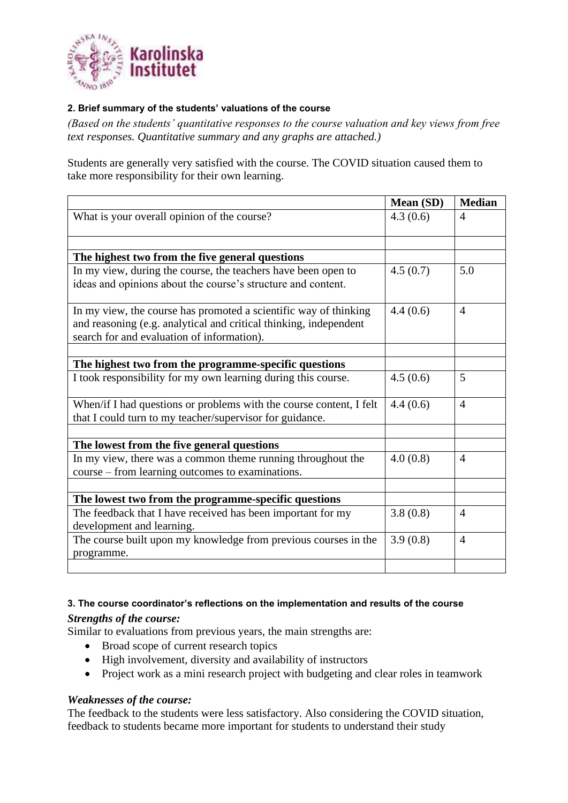

### **2. Brief summary of the students' valuations of the course**

*(Based on the students' quantitative responses to the course valuation and key views from free text responses. Quantitative summary and any graphs are attached.)*

Students are generally very satisfied with the course. The COVID situation caused them to take more responsibility for their own learning.

|                                                                               | Mean (SD) | <b>Median</b>  |
|-------------------------------------------------------------------------------|-----------|----------------|
| What is your overall opinion of the course?                                   | 4.3(0.6)  | $\overline{A}$ |
|                                                                               |           |                |
| The highest two from the five general questions                               |           |                |
| In my view, during the course, the teachers have been open to                 | 4.5(0.7)  | 5.0            |
| ideas and opinions about the course's structure and content.                  |           |                |
| In my view, the course has promoted a scientific way of thinking              | 4.4(0.6)  | $\overline{4}$ |
| and reasoning (e.g. analytical and critical thinking, independent             |           |                |
| search for and evaluation of information).                                    |           |                |
|                                                                               |           |                |
| The highest two from the programme-specific questions                         |           |                |
| I took responsibility for my own learning during this course.                 | 4.5(0.6)  | 5              |
| When/if I had questions or problems with the course content, I felt           | 4.4(0.6)  | $\overline{4}$ |
| that I could turn to my teacher/supervisor for guidance.                      |           |                |
|                                                                               |           |                |
| The lowest from the five general questions                                    |           |                |
| In my view, there was a common theme running throughout the                   | 4.0(0.8)  | $\overline{4}$ |
| course – from learning outcomes to examinations.                              |           |                |
|                                                                               |           |                |
| The lowest two from the programme-specific questions                          |           |                |
| The feedback that I have received has been important for my                   | 3.8(0.8)  | $\overline{4}$ |
| development and learning.                                                     |           |                |
| The course built upon my knowledge from previous courses in the<br>programme. | 3.9(0.8)  | $\overline{4}$ |
|                                                                               |           |                |

# **3. The course coordinator's reflections on the implementation and results of the course**

### *Strengths of the course:*

Similar to evaluations from previous years, the main strengths are:

- Broad scope of current research topics
- High involvement, diversity and availability of instructors
- Project work as a mini research project with budgeting and clear roles in teamwork

## *Weaknesses of the course:*

The feedback to the students were less satisfactory. Also considering the COVID situation, feedback to students became more important for students to understand their study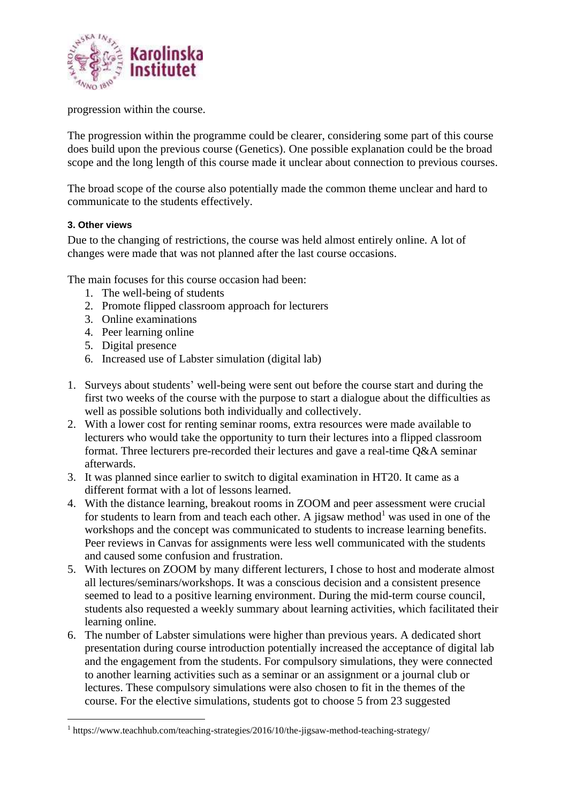

progression within the course.

The progression within the programme could be clearer, considering some part of this course does build upon the previous course (Genetics). One possible explanation could be the broad scope and the long length of this course made it unclear about connection to previous courses.

The broad scope of the course also potentially made the common theme unclear and hard to communicate to the students effectively.

### **3. Other views**

Due to the changing of restrictions, the course was held almost entirely online. A lot of changes were made that was not planned after the last course occasions.

The main focuses for this course occasion had been:

- 1. The well-being of students
- 2. Promote flipped classroom approach for lecturers
- 3. Online examinations
- 4. Peer learning online
- 5. Digital presence
- 6. Increased use of Labster simulation (digital lab)
- 1. Surveys about students' well-being were sent out before the course start and during the first two weeks of the course with the purpose to start a dialogue about the difficulties as well as possible solutions both individually and collectively.
- 2. With a lower cost for renting seminar rooms, extra resources were made available to lecturers who would take the opportunity to turn their lectures into a flipped classroom format. Three lecturers pre-recorded their lectures and gave a real-time Q&A seminar afterwards.
- 3. It was planned since earlier to switch to digital examination in HT20. It came as a different format with a lot of lessons learned.
- 4. With the distance learning, breakout rooms in ZOOM and peer assessment were crucial for students to learn from and teach each other. A jigsaw method<sup>1</sup> was used in one of the workshops and the concept was communicated to students to increase learning benefits. Peer reviews in Canvas for assignments were less well communicated with the students and caused some confusion and frustration.
- 5. With lectures on ZOOM by many different lecturers, I chose to host and moderate almost all lectures/seminars/workshops. It was a conscious decision and a consistent presence seemed to lead to a positive learning environment. During the mid-term course council, students also requested a weekly summary about learning activities, which facilitated their learning online.
- 6. The number of Labster simulations were higher than previous years. A dedicated short presentation during course introduction potentially increased the acceptance of digital lab and the engagement from the students. For compulsory simulations, they were connected to another learning activities such as a seminar or an assignment or a journal club or lectures. These compulsory simulations were also chosen to fit in the themes of the course. For the elective simulations, students got to choose 5 from 23 suggested

<sup>1</sup> https://www.teachhub.com/teaching-strategies/2016/10/the-jigsaw-method-teaching-strategy/